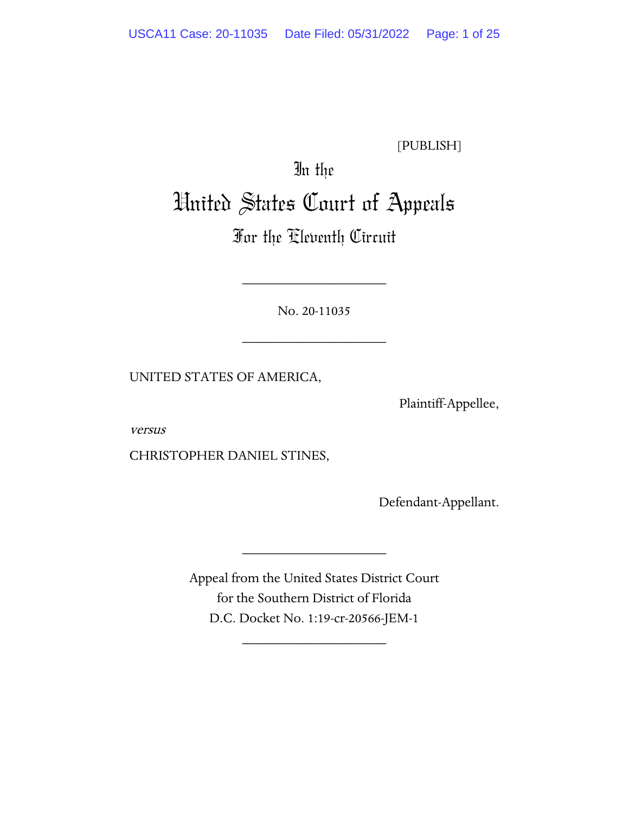[PUBLISH]

# In the United States Court of Appeals

# For the Eleventh Circuit

No. 20-11035

\_\_\_\_\_\_\_\_\_\_\_\_\_\_\_\_\_\_\_\_

\_\_\_\_\_\_\_\_\_\_\_\_\_\_\_\_\_\_\_\_

UNITED STATES OF AMERICA,

Plaintiff-Appellee,

versus

CHRISTOPHER DANIEL STINES,

Defendant-Appellant.

Appeal from the United States District Court for the Southern District of Florida D.C. Docket No. 1:19-cr-20566-JEM-1

\_\_\_\_\_\_\_\_\_\_\_\_\_\_\_\_\_\_\_\_

\_\_\_\_\_\_\_\_\_\_\_\_\_\_\_\_\_\_\_\_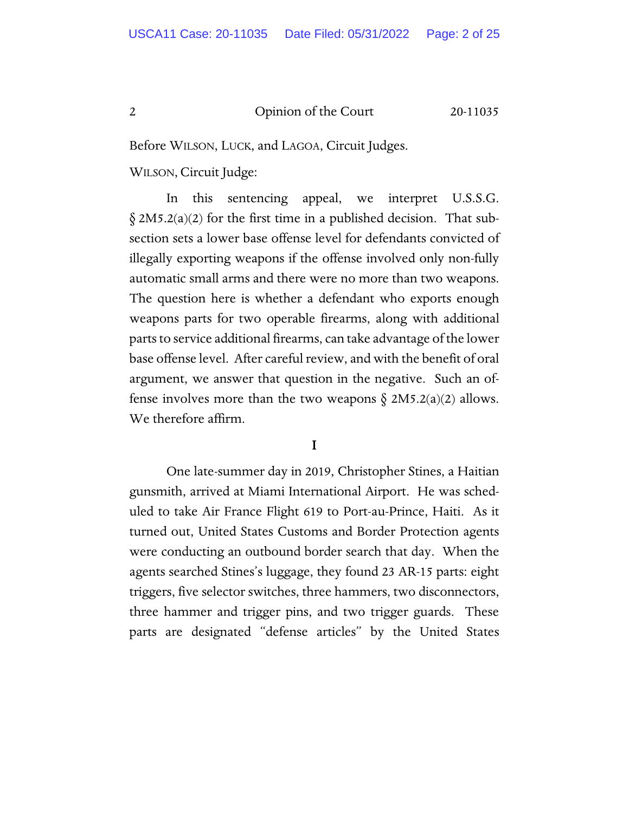Before WILSON, LUCK, and LAGOA, Circuit Judges.

WILSON, Circuit Judge:

In this sentencing appeal, we interpret U.S.S.G.  $\S 2M5.2(a)(2)$  for the first time in a published decision. That subsection sets a lower base offense level for defendants convicted of illegally exporting weapons if the offense involved only non-fully automatic small arms and there were no more than two weapons. The question here is whether a defendant who exports enough weapons parts for two operable firearms, along with additional parts to service additional firearms, can take advantage of the lower base offense level. After careful review, and with the benefit of oral argument, we answer that question in the negative. Such an offense involves more than the two weapons  $\S$  2M5.2(a)(2) allows. We therefore affirm.

# I

One late-summer day in 2019, Christopher Stines, a Haitian gunsmith, arrived at Miami International Airport. He was scheduled to take Air France Flight 619 to Port-au-Prince, Haiti. As it turned out, United States Customs and Border Protection agents were conducting an outbound border search that day. When the agents searched Stines's luggage, they found 23 AR-15 parts: eight triggers, five selector switches, three hammers, two disconnectors, three hammer and trigger pins, and two trigger guards. These parts are designated "defense articles" by the United States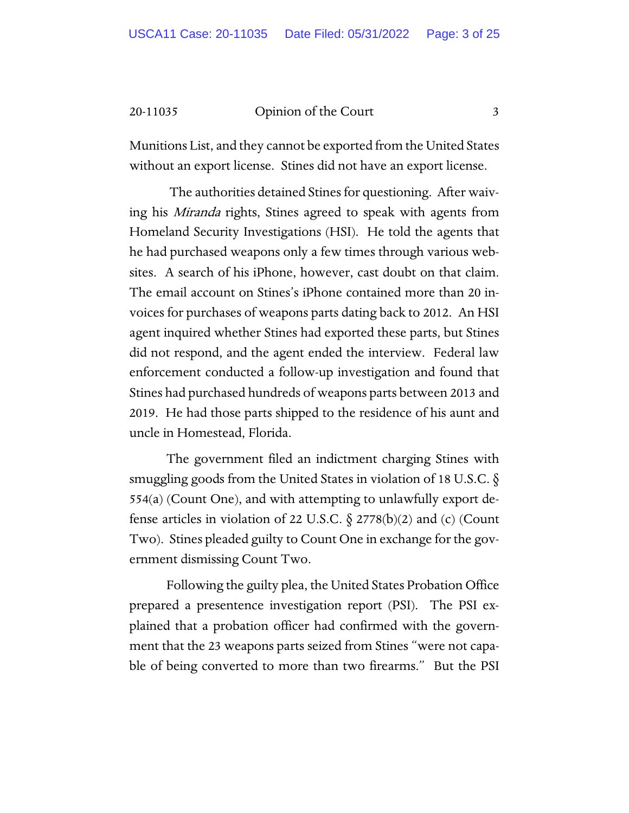Munitions List, and they cannot be exported from the United States without an export license. Stines did not have an export license.

The authorities detained Stines for questioning. After waiving his *Miranda* rights, Stines agreed to speak with agents from Homeland Security Investigations (HSI). He told the agents that he had purchased weapons only a few times through various websites. A search of his iPhone, however, cast doubt on that claim. The email account on Stines's iPhone contained more than 20 invoices for purchases of weapons parts dating back to 2012. An HSI agent inquired whether Stines had exported these parts, but Stines did not respond, and the agent ended the interview. Federal law enforcement conducted a follow-up investigation and found that Stines had purchased hundreds of weapons parts between 2013 and 2019. He had those parts shipped to the residence of his aunt and uncle in Homestead, Florida.

The government filed an indictment charging Stines with smuggling goods from the United States in violation of 18 U.S.C. § 554(a) (Count One), and with attempting to unlawfully export defense articles in violation of 22 U.S.C. § 2778(b)(2) and (c) (Count Two). Stines pleaded guilty to Count One in exchange for the government dismissing Count Two.

Following the guilty plea, the United States Probation Office prepared a presentence investigation report (PSI). The PSI explained that a probation officer had confirmed with the government that the 23 weapons parts seized from Stines "were not capable of being converted to more than two firearms." But the PSI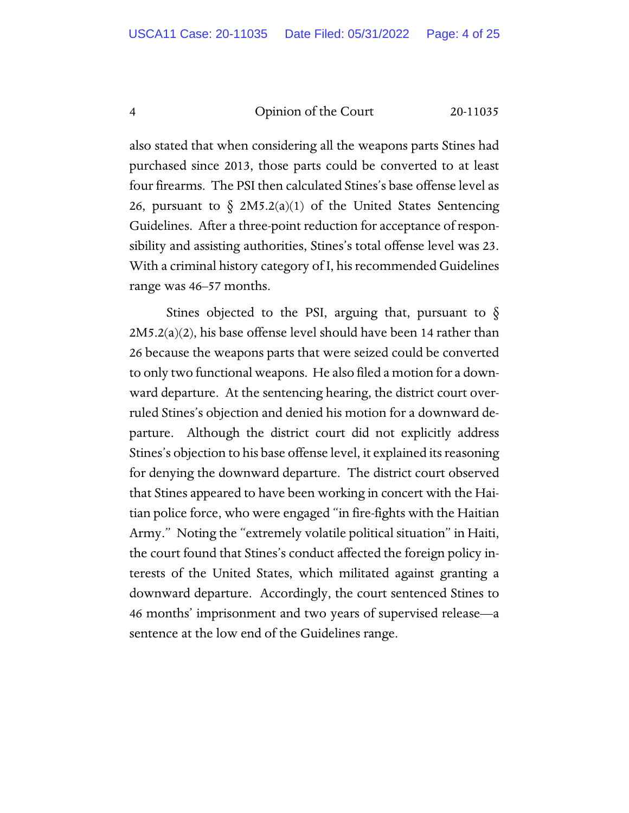also stated that when considering all the weapons parts Stines had purchased since 2013, those parts could be converted to at least four firearms. The PSI then calculated Stines's base offense level as 26, pursuant to  $\delta$  2M5.2(a)(1) of the United States Sentencing Guidelines. After a three-point reduction for acceptance of responsibility and assisting authorities, Stines's total offense level was 23. With a criminal history category of I, his recommended Guidelines range was 46–57 months.

Stines objected to the PSI, arguing that, pursuant to  $\S$ 2M5.2(a)(2), his base offense level should have been 14 rather than 26 because the weapons parts that were seized could be converted to only two functional weapons. He also filed a motion for a downward departure. At the sentencing hearing, the district court overruled Stines's objection and denied his motion for a downward departure. Although the district court did not explicitly address Stines's objection to his base offense level, it explained its reasoning for denying the downward departure. The district court observed that Stines appeared to have been working in concert with the Haitian police force, who were engaged "in fire-fights with the Haitian Army." Noting the "extremely volatile political situation" in Haiti, the court found that Stines's conduct affected the foreign policy interests of the United States, which militated against granting a downward departure. Accordingly, the court sentenced Stines to 46 months' imprisonment and two years of supervised release—a sentence at the low end of the Guidelines range.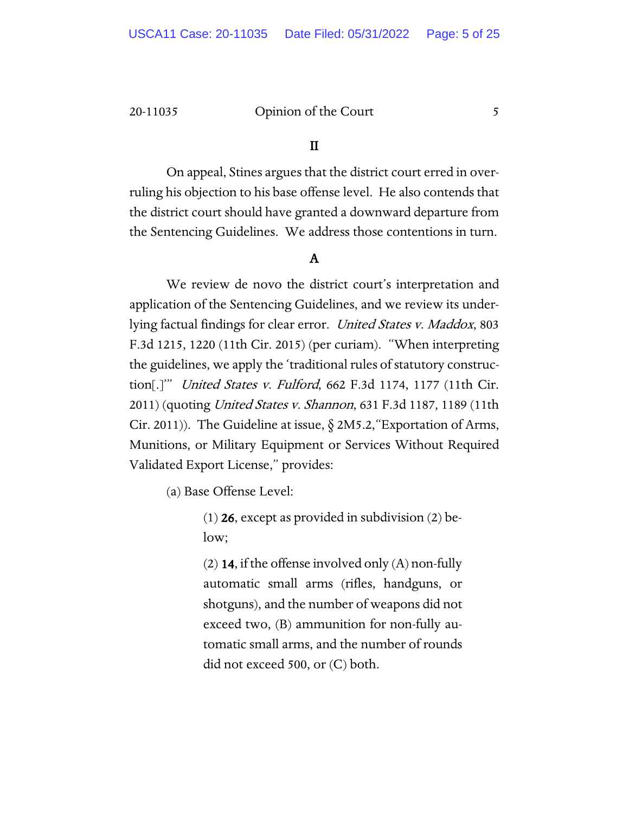# II

On appeal, Stines argues that the district court erred in overruling his objection to his base offense level. He also contends that the district court should have granted a downward departure from the Sentencing Guidelines. We address those contentions in turn.

# A

We review de novo the district court's interpretation and application of the Sentencing Guidelines, and we review its underlying factual findings for clear error. United States v. Maddox, 803 F.3d 1215, 1220 (11th Cir. 2015) (per curiam). "When interpreting the guidelines, we apply the 'traditional rules of statutory construction[.]'" United States v. Fulford, 662 F.3d 1174, 1177 (11th Cir. 2011) (quoting *United States v. Shannon*, 631 F.3d 1187, 1189 (11th Cir. 2011)). The Guideline at issue,  $\S 2M5.2$ , "Exportation of Arms, Munitions, or Military Equipment or Services Without Required Validated Export License," provides:

(a) Base Offense Level:

(1) 26, except as provided in subdivision (2) below;

(2) **14**, if the offense involved only  $(A)$  non-fully automatic small arms (rifles, handguns, or shotguns), and the number of weapons did not exceed two, (B) ammunition for non-fully automatic small arms, and the number of rounds did not exceed 500, or (C) both.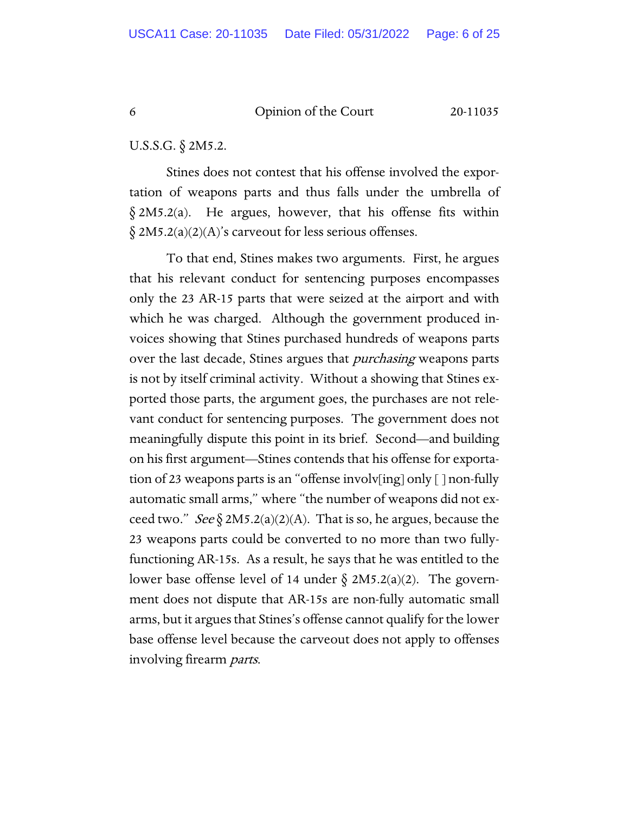U.S.S.G. § 2M5.2.

Stines does not contest that his offense involved the exportation of weapons parts and thus falls under the umbrella of § 2M5.2(a). He argues, however, that his offense fits within  $\S 2M5.2(a)(2)(A)$ 's carveout for less serious offenses.

To that end, Stines makes two arguments. First, he argues that his relevant conduct for sentencing purposes encompasses only the 23 AR-15 parts that were seized at the airport and with which he was charged. Although the government produced invoices showing that Stines purchased hundreds of weapons parts over the last decade, Stines argues that *purchasing* weapons parts is not by itself criminal activity. Without a showing that Stines exported those parts, the argument goes, the purchases are not relevant conduct for sentencing purposes. The government does not meaningfully dispute this point in its brief. Second—and building on his first argument—Stines contends that his offense for exportation of 23 weapons parts is an "offense involv[ing] only [ ] non-fully automatic small arms," where "the number of weapons did not exceed two." *See*  $\S 2M5.2(a)(2)(A)$ . That is so, he argues, because the 23 weapons parts could be converted to no more than two fullyfunctioning AR-15s. As a result, he says that he was entitled to the lower base offense level of 14 under  $\S$  2M5.2(a)(2). The government does not dispute that AR-15s are non-fully automatic small arms, but it argues that Stines's offense cannot qualify for the lower base offense level because the carveout does not apply to offenses involving firearm parts.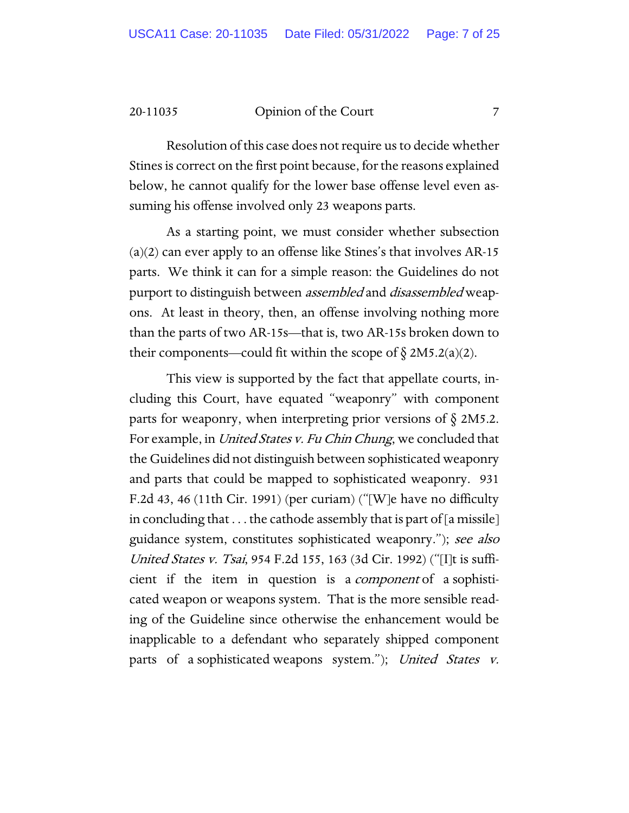Resolution of this case does not require us to decide whether Stines is correct on the first point because, for the reasons explained below, he cannot qualify for the lower base offense level even assuming his offense involved only 23 weapons parts.

As a starting point, we must consider whether subsection  $(a)(2)$  can ever apply to an offense like Stines's that involves AR-15 parts. We think it can for a simple reason: the Guidelines do not purport to distinguish between *assembled* and *disassembled* weapons. At least in theory, then, an offense involving nothing more than the parts of two AR-15s—that is, two AR-15s broken down to their components—could fit within the scope of  $\S 2M5.2(a)(2)$ .

This view is supported by the fact that appellate courts, including this Court, have equated "weaponry" with component parts for weaponry, when interpreting prior versions of  $\S$  2M5.2. For example, in *United States v. Fu Chin Chung*, we concluded that the Guidelines did not distinguish between sophisticated weaponry and parts that could be mapped to sophisticated weaponry. 931 F.2d 43, 46 (11th Cir. 1991) (per curiam) ("[W]e have no difficulty in concluding that  $\dots$  the cathode assembly that is part of [a missile] guidance system, constitutes sophisticated weaponry."); see also United States v. Tsai, 954 F.2d 155, 163 (3d Cir. 1992) ("[I]t is sufficient if the item in question is a *component* of a sophisticated weapon or weapons system. That is the more sensible reading of the Guideline since otherwise the enhancement would be inapplicable to a defendant who separately shipped component parts of a sophisticated weapons system."); United States v.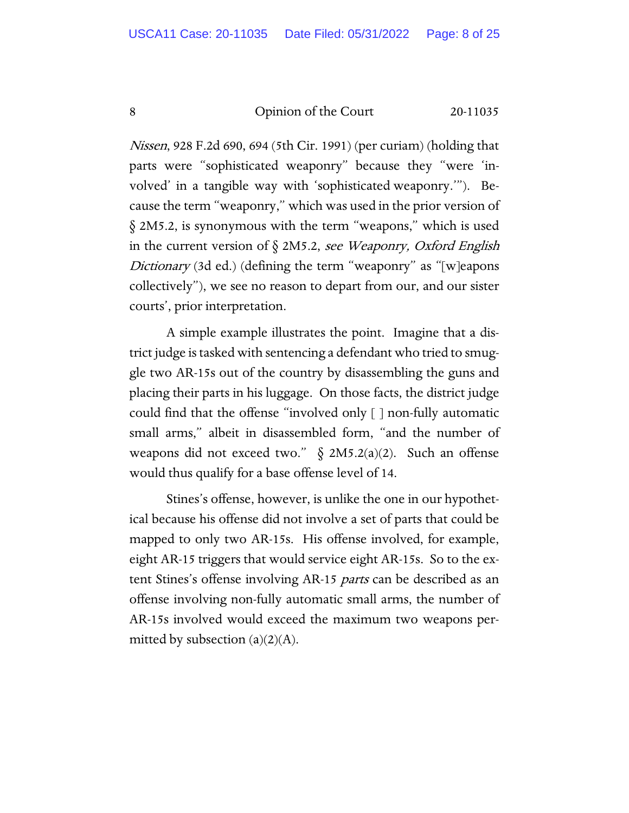Nissen, 928 F.2d 690, 694 (5th Cir. 1991) (per curiam) (holding that parts were "sophisticated weaponry" because they "were 'involved' in a tangible way with 'sophisticated weaponry.'"). Because the term "weaponry," which was used in the prior version of § 2M5.2, is synonymous with the term "weapons," which is used in the current version of  $\S$  2M5.2, see Weaponry, Oxford English Dictionary (3d ed.) (defining the term "weaponry" as "[w]eapons collectively"), we see no reason to depart from our, and our sister courts', prior interpretation.

A simple example illustrates the point. Imagine that a district judge is tasked with sentencing a defendant who tried to smuggle two AR-15s out of the country by disassembling the guns and placing their parts in his luggage. On those facts, the district judge could find that the offense "involved only [ ] non-fully automatic small arms," albeit in disassembled form, "and the number of weapons did not exceed two." § 2M5.2(a)(2). Such an offense would thus qualify for a base offense level of 14.

Stines's offense, however, is unlike the one in our hypothetical because his offense did not involve a set of parts that could be mapped to only two AR-15s. His offense involved, for example, eight AR-15 triggers that would service eight AR-15s. So to the extent Stines's offense involving AR-15 *parts* can be described as an offense involving non-fully automatic small arms, the number of AR-15s involved would exceed the maximum two weapons permitted by subsection  $(a)(2)(A)$ .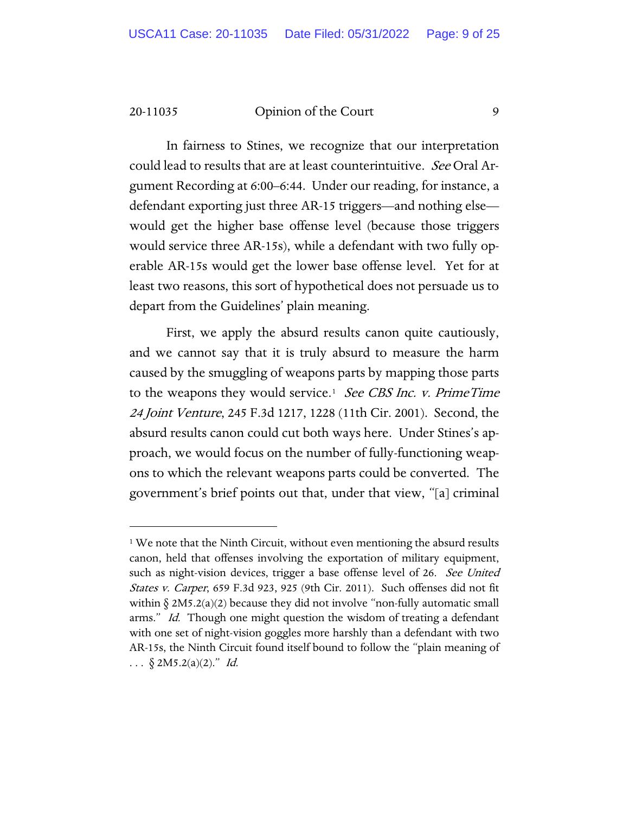In fairness to Stines, we recognize that our interpretation could lead to results that are at least counterintuitive. See Oral Argument Recording at 6:00–6:44. Under our reading, for instance, a defendant exporting just three AR-15 triggers—and nothing else would get the higher base offense level (because those triggers would service three AR-15s), while a defendant with two fully operable AR-15s would get the lower base offense level. Yet for at least two reasons, this sort of hypothetical does not persuade us to depart from the Guidelines' plain meaning.

First, we apply the absurd results canon quite cautiously, and we cannot say that it is truly absurd to measure the harm caused by the smuggling of weapons parts by mapping those parts to the weapons they would service.<sup>[1](#page-8-0)</sup> See CBS Inc. v. PrimeTime 24 Joint Venture, 245 F.3d 1217, 1228 (11th Cir. 2001). Second, the absurd results canon could cut both ways here. Under Stines's approach, we would focus on the number of fully-functioning weapons to which the relevant weapons parts could be converted. The government's brief points out that, under that view, "[a] criminal

<span id="page-8-0"></span><sup>&</sup>lt;sup>1</sup> We note that the Ninth Circuit, without even mentioning the absurd results canon, held that offenses involving the exportation of military equipment, such as night-vision devices, trigger a base offense level of 26. See United States v. Carper, 659 F.3d 923, 925 (9th Cir. 2011). Such offenses did not fit within  $\S 2M5.2(a)(2)$  because they did not involve "non-fully automatic small arms." *Id.* Though one might question the wisdom of treating a defendant with one set of night-vision goggles more harshly than a defendant with two AR-15s, the Ninth Circuit found itself bound to follow the "plain meaning of ...  $\S$  2M5.2(a)(2)." Id.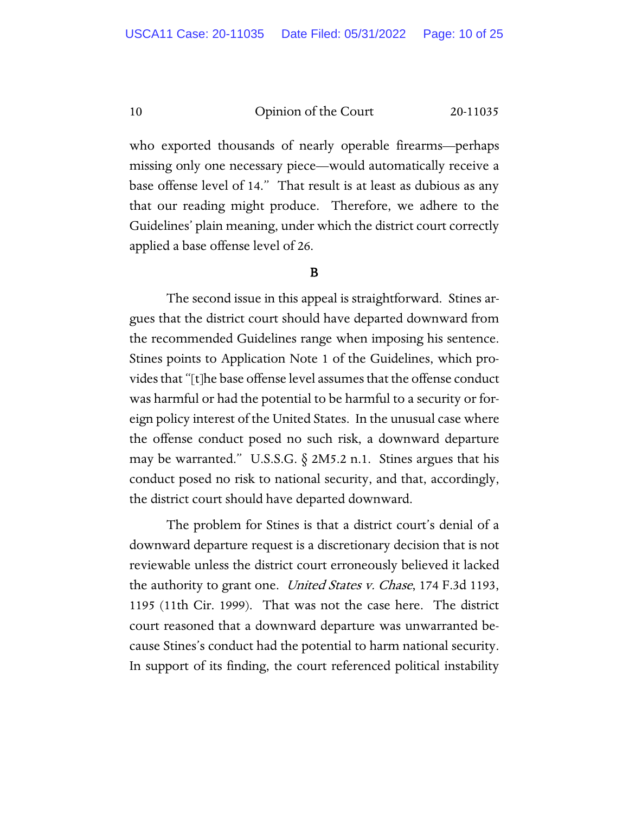who exported thousands of nearly operable firearms—perhaps missing only one necessary piece—would automatically receive a base offense level of 14." That result is at least as dubious as any that our reading might produce. Therefore, we adhere to the Guidelines' plain meaning, under which the district court correctly applied a base offense level of 26.

# B

The second issue in this appeal is straightforward. Stines argues that the district court should have departed downward from the recommended Guidelines range when imposing his sentence. Stines points to Application Note 1 of the Guidelines, which provides that "[t]he base offense level assumes that the offense conduct was harmful or had the potential to be harmful to a security or foreign policy interest of the United States. In the unusual case where the offense conduct posed no such risk, a downward departure may be warranted." U.S.S.G.  $\S$  2M5.2 n.1. Stines argues that his conduct posed no risk to national security, and that, accordingly, the district court should have departed downward.

The problem for Stines is that a district court's denial of a downward departure request is a discretionary decision that is not reviewable unless the district court erroneously believed it lacked the authority to grant one. *United States v. Chase*, 174 F.3d 1193, 1195 (11th Cir. 1999). That was not the case here. The district court reasoned that a downward departure was unwarranted because Stines's conduct had the potential to harm national security. In support of its finding, the court referenced political instability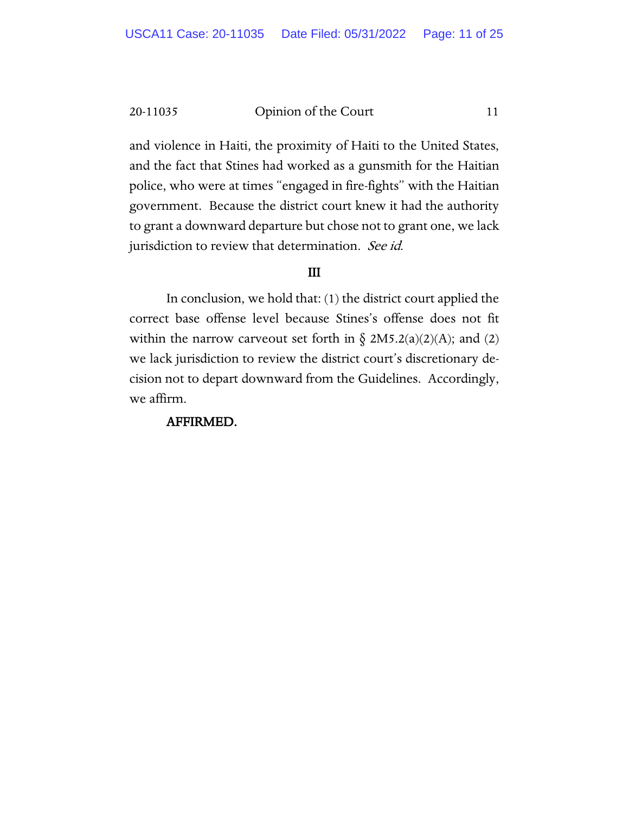and violence in Haiti, the proximity of Haiti to the United States, and the fact that Stines had worked as a gunsmith for the Haitian police, who were at times "engaged in fire-fights" with the Haitian government. Because the district court knew it had the authority to grant a downward departure but chose not to grant one, we lack jurisdiction to review that determination. See id.

# III

In conclusion, we hold that: (1) the district court applied the correct base offense level because Stines's offense does not fit within the narrow carveout set forth in  $\delta$  2M5.2(a)(2)(A); and (2) we lack jurisdiction to review the district court's discretionary decision not to depart downward from the Guidelines. Accordingly, we affirm.

# AFFIRMED.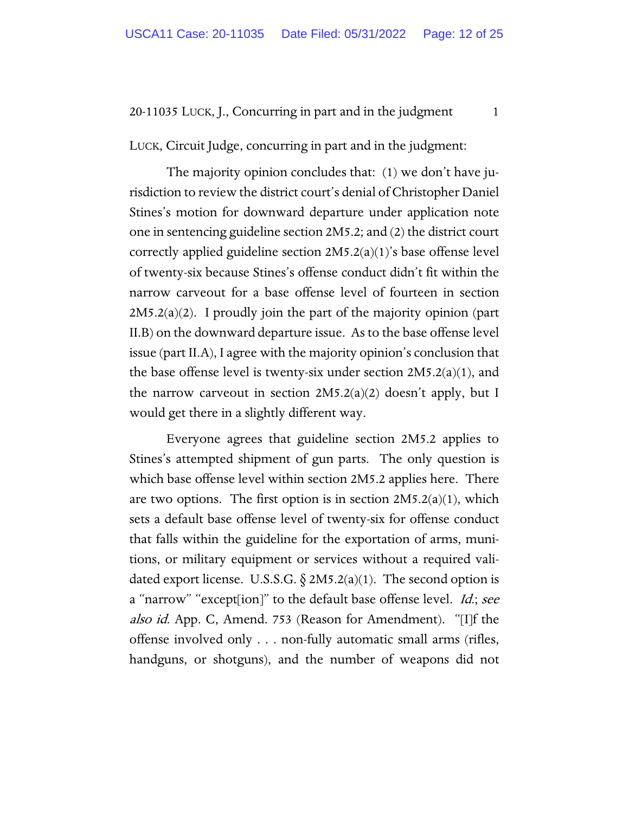LUCK, Circuit Judge, concurring in part and in the judgment:

The majority opinion concludes that: (1) we don't have jurisdiction to review the district court's denial of Christopher Daniel Stines's motion for downward departure under application note one in sentencing guideline section 2M5.2; and (2) the district court correctly applied guideline section 2M5.2(a)(1)'s base offense level of twenty-six because Stines's offense conduct didn't fit within the narrow carveout for a base offense level of fourteen in section  $2M5.2(a)(2)$ . I proudly join the part of the majority opinion (part II.B) on the downward departure issue. As to the base offense level issue (part II.A), I agree with the majority opinion's conclusion that the base offense level is twenty-six under section 2M5.2(a)(1), and the narrow carveout in section  $2M5.2(a)(2)$  doesn't apply, but I would get there in a slightly different way.

Everyone agrees that guideline section 2M5.2 applies to Stines's attempted shipment of gun parts. The only question is which base offense level within section 2M5.2 applies here. There are two options. The first option is in section  $2M5.2(a)(1)$ , which sets a default base offense level of twenty-six for offense conduct that falls within the guideline for the exportation of arms, munitions, or military equipment or services without a required validated export license. U.S.S.G.  $\S 2M5.2(a)(1)$ . The second option is a "narrow" "except[ion]" to the default base offense level. *Id.; see* also id. App. C, Amend. 753 (Reason for Amendment). "[I]f the offense involved only . . . non-fully automatic small arms (rifles, handguns, or shotguns), and the number of weapons did not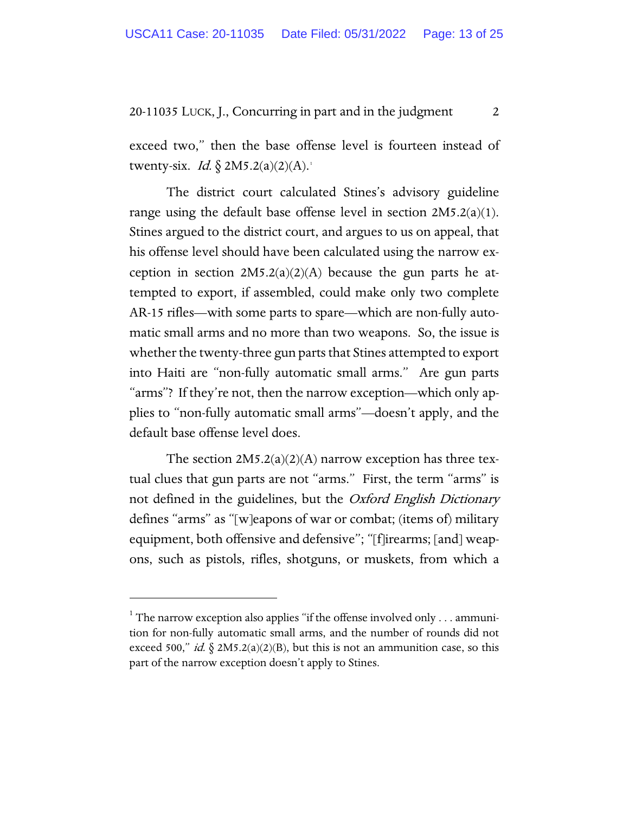exceed two," then the base offense level is fourteen instead of twenty-six. *Id.*  $\oint$  2M5.2(a)(2)(A).<sup>[1](#page-12-0)</sup>

The district court calculated Stines's advisory guideline range using the default base offense level in section 2M5.2(a)(1). Stines argued to the district court, and argues to us on appeal, that his offense level should have been calculated using the narrow exception in section  $2M5.2(a)(2)(A)$  because the gun parts he attempted to export, if assembled, could make only two complete AR-15 rifles—with some parts to spare—which are non-fully automatic small arms and no more than two weapons. So, the issue is whether the twenty-three gun parts that Stines attempted to export into Haiti are "non-fully automatic small arms." Are gun parts "arms"? If they're not, then the narrow exception—which only applies to "non-fully automatic small arms"—doesn't apply, and the default base offense level does.

The section  $2M5.2(a)(2)(A)$  narrow exception has three textual clues that gun parts are not "arms." First, the term "arms" is not defined in the guidelines, but the Oxford English Dictionary defines "arms" as "[w]eapons of war or combat; (items of) military equipment, both offensive and defensive"; "[f]irearms; [and] weapons, such as pistols, rifles, shotguns, or muskets, from which a

<span id="page-12-0"></span> $1$ <sup>1</sup> The narrow exception also applies "if the offense involved only . . . ammunition for non-fully automatic small arms, and the number of rounds did not exceed 500," *id.*  $\S 2M5.2(a)(2)(B)$ , but this is not an ammunition case, so this part of the narrow exception doesn't apply to Stines.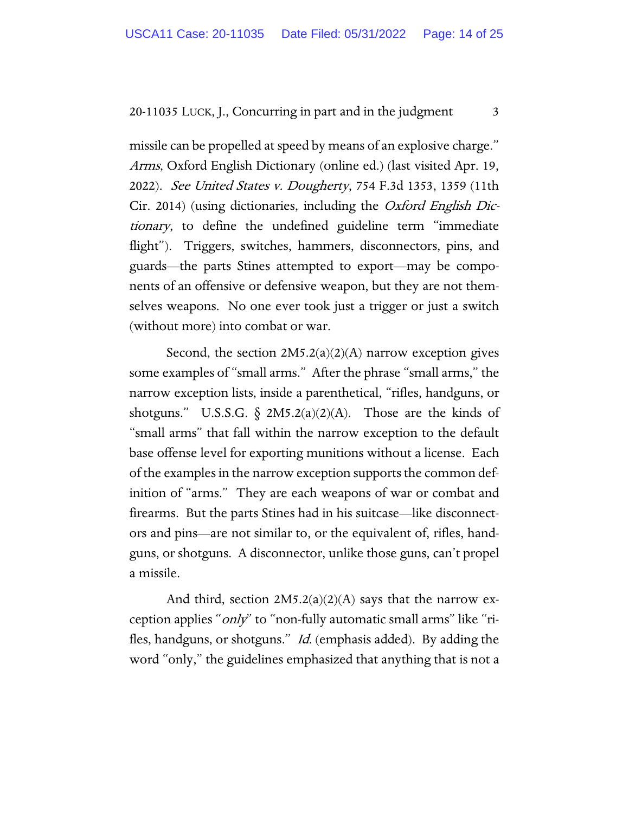missile can be propelled at speed by means of an explosive charge." Arms, Oxford English Dictionary (online ed.) (last visited Apr. 19, 2022). See United States v. Dougherty, 754 F.3d 1353, 1359 (11th Cir. 2014) (using dictionaries, including the Oxford English Dictionary, to define the undefined guideline term "immediate flight"). Triggers, switches, hammers, disconnectors, pins, and guards—the parts Stines attempted to export—may be components of an offensive or defensive weapon, but they are not themselves weapons. No one ever took just a trigger or just a switch (without more) into combat or war.

Second, the section  $2M5.2(a)(2)(A)$  narrow exception gives some examples of "small arms." After the phrase "small arms," the narrow exception lists, inside a parenthetical, "rifles, handguns, or shotguns." U.S.S.G.  $\delta$  2M5.2(a)(2)(A). Those are the kinds of "small arms" that fall within the narrow exception to the default base offense level for exporting munitions without a license. Each of the examples in the narrow exception supports the common definition of "arms." They are each weapons of war or combat and firearms. But the parts Stines had in his suitcase—like disconnectors and pins—are not similar to, or the equivalent of, rifles, handguns, or shotguns. A disconnector, unlike those guns, can't propel a missile.

And third, section  $2M5.2(a)(2)(A)$  says that the narrow exception applies "*only*" to "non-fully automatic small arms" like "rifles, handguns, or shotguns." *Id.* (emphasis added). By adding the word "only," the guidelines emphasized that anything that is not a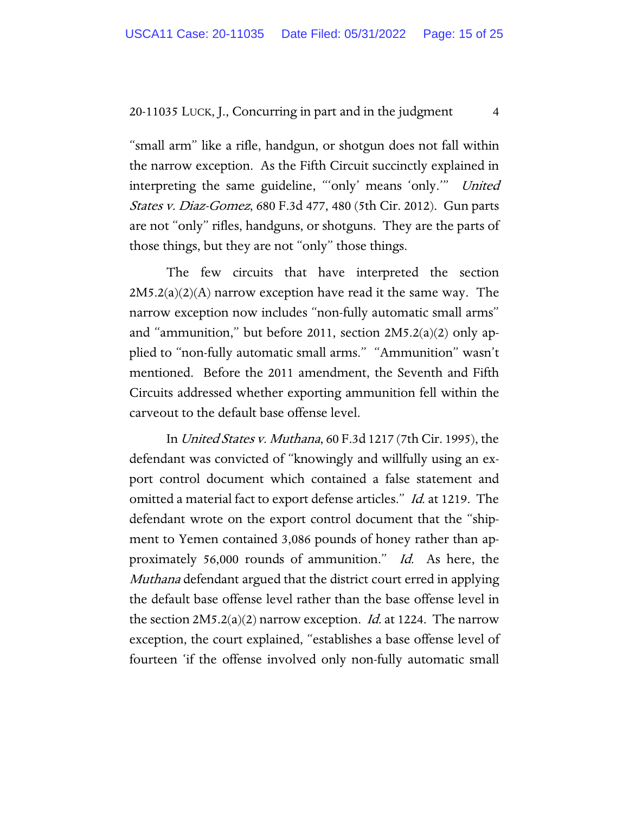"small arm" like a rifle, handgun, or shotgun does not fall within the narrow exception. As the Fifth Circuit succinctly explained in interpreting the same guideline, "'only' means 'only."" United States v. Diaz-Gomez, 680 F.3d 477, 480 (5th Cir. 2012). Gun parts are not "only" rifles, handguns, or shotguns. They are the parts of those things, but they are not "only" those things.

The few circuits that have interpreted the section  $2M5.2(a)(2)(A)$  narrow exception have read it the same way. The narrow exception now includes "non-fully automatic small arms" and "ammunition," but before 2011, section 2M5.2(a)(2) only applied to "non-fully automatic small arms." "Ammunition" wasn't mentioned. Before the 2011 amendment, the Seventh and Fifth Circuits addressed whether exporting ammunition fell within the carveout to the default base offense level.

In United States v. Muthana, 60 F.3d 1217 (7th Cir. 1995), the defendant was convicted of "knowingly and willfully using an export control document which contained a false statement and omitted a material fact to export defense articles." Id. at 1219. The defendant wrote on the export control document that the "shipment to Yemen contained 3,086 pounds of honey rather than approximately 56,000 rounds of ammunition." Id. As here, the Muthana defendant argued that the district court erred in applying the default base offense level rather than the base offense level in the section  $2M5.2(a)(2)$  narrow exception. *Id.* at 1224. The narrow exception, the court explained, "establishes a base offense level of fourteen 'if the offense involved only non-fully automatic small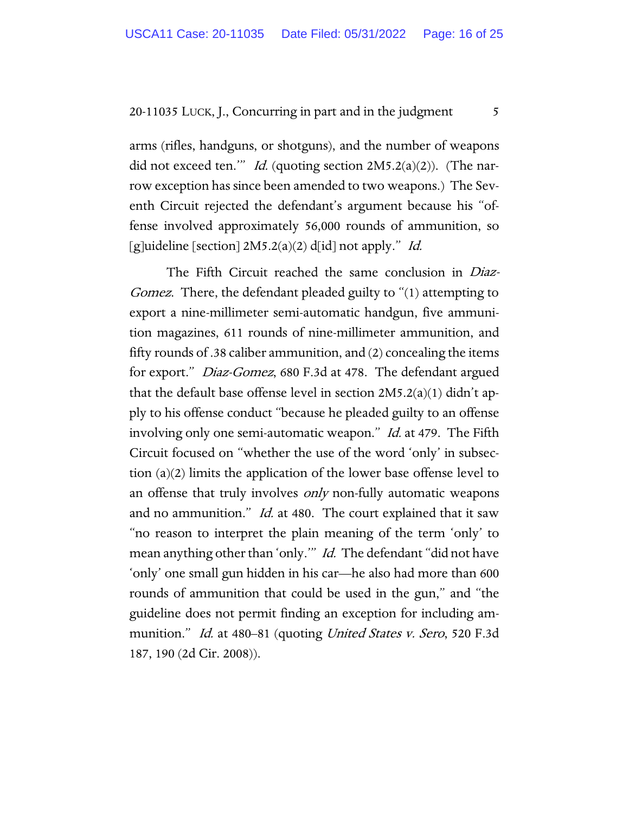arms (rifles, handguns, or shotguns), and the number of weapons did not exceed ten."" Id. (quoting section  $2M5.2(a)(2)$ ). (The narrow exception has since been amended to two weapons.) The Seventh Circuit rejected the defendant's argument because his "offense involved approximately 56,000 rounds of ammunition, so [g]uideline [section]  $2M5.2(a)(2)$  d[id] not apply." *Id.* 

The Fifth Circuit reached the same conclusion in Diaz-Gomez. There, the defendant pleaded guilty to "(1) attempting to export a nine-millimeter semi-automatic handgun, five ammunition magazines, 611 rounds of nine-millimeter ammunition, and fifty rounds of .38 caliber ammunition, and (2) concealing the items for export." Diaz-Gomez, 680 F.3d at 478. The defendant argued that the default base offense level in section 2M5.2(a)(1) didn't apply to his offense conduct "because he pleaded guilty to an offense involving only one semi-automatic weapon." *Id.* at 479. The Fifth Circuit focused on "whether the use of the word 'only' in subsection (a)(2) limits the application of the lower base offense level to an offense that truly involves *only* non-fully automatic weapons and no ammunition." *Id.* at 480. The court explained that it saw "no reason to interpret the plain meaning of the term 'only' to mean anything other than 'only." *Id.* The defendant "did not have 'only' one small gun hidden in his car—he also had more than 600 rounds of ammunition that could be used in the gun," and "the guideline does not permit finding an exception for including ammunition." *Id.* at 480–81 (quoting *United States v. Sero*, 520 F.3d 187, 190 (2d Cir. 2008)).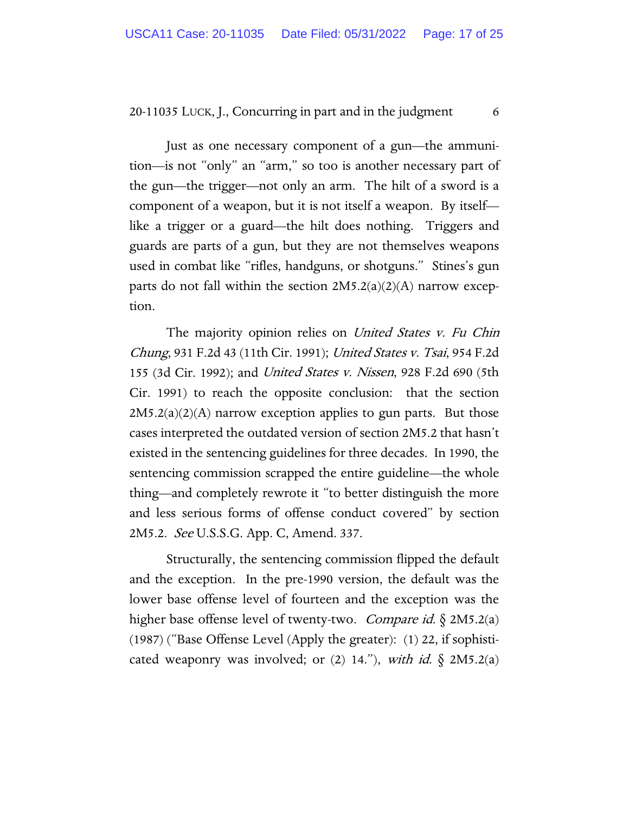Just as one necessary component of a gun—the ammunition—is not "only" an "arm," so too is another necessary part of the gun—the trigger—not only an arm. The hilt of a sword is a component of a weapon, but it is not itself a weapon. By itself like a trigger or a guard—the hilt does nothing. Triggers and guards are parts of a gun, but they are not themselves weapons used in combat like "rifles, handguns, or shotguns." Stines's gun parts do not fall within the section  $2M5.2(a)(2)(A)$  narrow exception.

The majority opinion relies on *United States v. Fu Chin* Chung, 931 F.2d 43 (11th Cir. 1991); United States v. Tsai, 954 F.2d 155 (3d Cir. 1992); and United States v. Nissen, 928 F.2d 690 (5th Cir. 1991) to reach the opposite conclusion: that the section  $2M5.2(a)(2)(A)$  narrow exception applies to gun parts. But those cases interpreted the outdated version of section 2M5.2 that hasn't existed in the sentencing guidelines for three decades. In 1990, the sentencing commission scrapped the entire guideline—the whole thing—and completely rewrote it "to better distinguish the more and less serious forms of offense conduct covered" by section 2M5.2. See U.S.S.G. App. C, Amend. 337.

Structurally, the sentencing commission flipped the default and the exception. In the pre-1990 version, the default was the lower base offense level of fourteen and the exception was the higher base offense level of twenty-two. *Compare id.*  $\S 2M5.2(a)$ (1987) ("Base Offense Level (Apply the greater): (1) 22, if sophisticated weaponry was involved; or  $(2)$  14."), with id.  $\S$  2M5.2(a)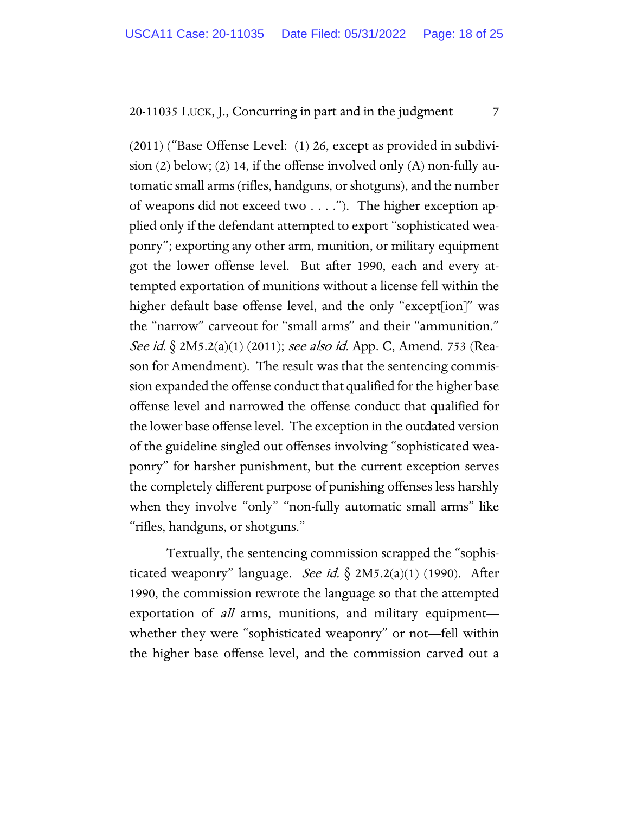(2011) ("Base Offense Level: (1) 26, except as provided in subdivision (2) below; (2) 14, if the offense involved only (A) non-fully automatic small arms (rifles, handguns, or shotguns), and the number of weapons did not exceed two . . . ."). The higher exception applied only if the defendant attempted to export "sophisticated weaponry"; exporting any other arm, munition, or military equipment got the lower offense level. But after 1990, each and every attempted exportation of munitions without a license fell within the higher default base offense level, and the only "except[ion]" was the "narrow" carveout for "small arms" and their "ammunition." See id. § 2M5.2(a)(1) (2011); see also id. App. C, Amend. 753 (Reason for Amendment). The result was that the sentencing commission expanded the offense conduct that qualified for the higher base offense level and narrowed the offense conduct that qualified for the lower base offense level. The exception in the outdated version of the guideline singled out offenses involving "sophisticated weaponry" for harsher punishment, but the current exception serves the completely different purpose of punishing offenses less harshly when they involve "only" "non-fully automatic small arms" like "rifles, handguns, or shotguns."

Textually, the sentencing commission scrapped the "sophisticated weaponry" language. See id.  $\S$  2M5.2(a)(1) (1990). After 1990, the commission rewrote the language so that the attempted exportation of *all* arms, munitions, and military equipment whether they were "sophisticated weaponry" or not—fell within the higher base offense level, and the commission carved out a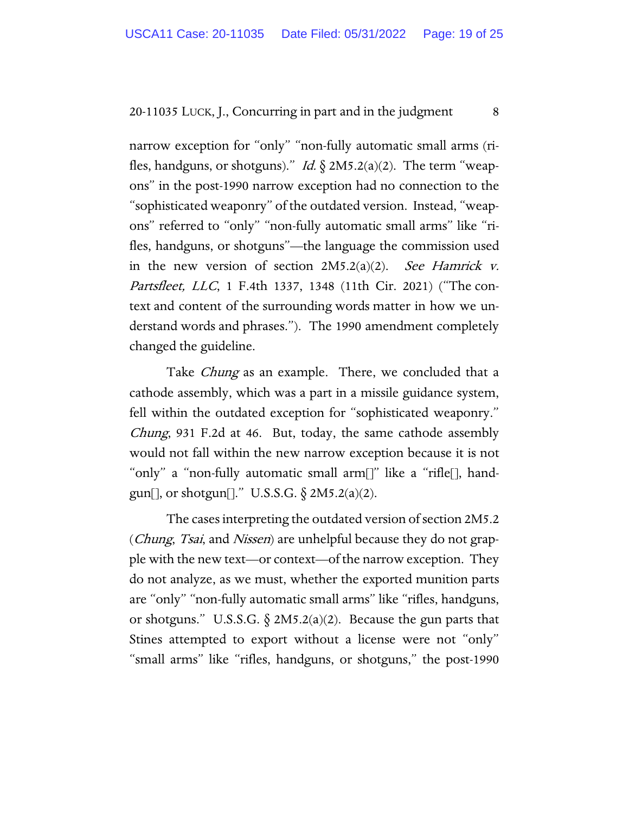narrow exception for "only" "non-fully automatic small arms (rifles, handguns, or shotguns)." *Id.*  $\S 2M5.2(a)(2)$ . The term "weapons" in the post-1990 narrow exception had no connection to the "sophisticated weaponry" of the outdated version. Instead, "weapons" referred to "only" "non-fully automatic small arms" like "rifles, handguns, or shotguns"—the language the commission used in the new version of section  $2M5.2(a)(2)$ . See Hamrick v. Partsfleet, LLC, 1 F.4th 1337, 1348 (11th Cir. 2021) ("The context and content of the surrounding words matter in how we understand words and phrases."). The 1990 amendment completely changed the guideline.

Take *Chung* as an example. There, we concluded that a cathode assembly, which was a part in a missile guidance system, fell within the outdated exception for "sophisticated weaponry." Chung, 931 F.2d at 46. But, today, the same cathode assembly would not fall within the new narrow exception because it is not "only" a "non-fully automatic small arm[]" like a "rifle[], handgun[], or shotgun[]." U.S.S.G.  $\S 2M5.2(a)(2)$ .

The cases interpreting the outdated version of section 2M5.2 (*Chung, Tsai*, and *Nissen*) are unhelpful because they do not grapple with the new text—or context—of the narrow exception. They do not analyze, as we must, whether the exported munition parts are "only" "non-fully automatic small arms" like "rifles, handguns, or shotguns." U.S.S.G.  $\S$  2M5.2(a)(2). Because the gun parts that Stines attempted to export without a license were not "only" "small arms" like "rifles, handguns, or shotguns," the post-1990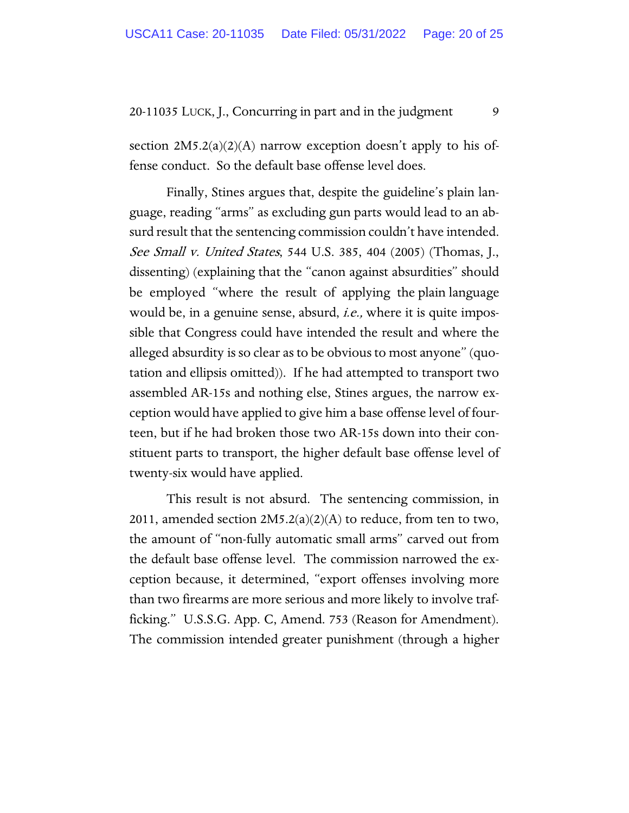section  $2M5.2(a)(2)(A)$  narrow exception doesn't apply to his offense conduct. So the default base offense level does.

Finally, Stines argues that, despite the guideline's plain language, reading "arms" as excluding gun parts would lead to an absurd result that the sentencing commission couldn't have intended. See Small v. United States, 544 U.S. 385, 404 (2005) (Thomas, J., dissenting) (explaining that the "canon against absurdities" should be employed "where the result of applying the plain language would be, in a genuine sense, absurd, *i.e.*, where it is quite impossible that Congress could have intended the result and where the alleged absurdity is so clear as to be obvious to most anyone" (quotation and ellipsis omitted)). If he had attempted to transport two assembled AR-15s and nothing else, Stines argues, the narrow exception would have applied to give him a base offense level of fourteen, but if he had broken those two AR-15s down into their constituent parts to transport, the higher default base offense level of twenty-six would have applied.

This result is not absurd. The sentencing commission, in 2011, amended section  $2M5.2(a)(2)(A)$  to reduce, from ten to two, the amount of "non-fully automatic small arms" carved out from the default base offense level. The commission narrowed the exception because, it determined, "export offenses involving more than two firearms are more serious and more likely to involve trafficking." U.S.S.G. App. C, Amend. 753 (Reason for Amendment). The commission intended greater punishment (through a higher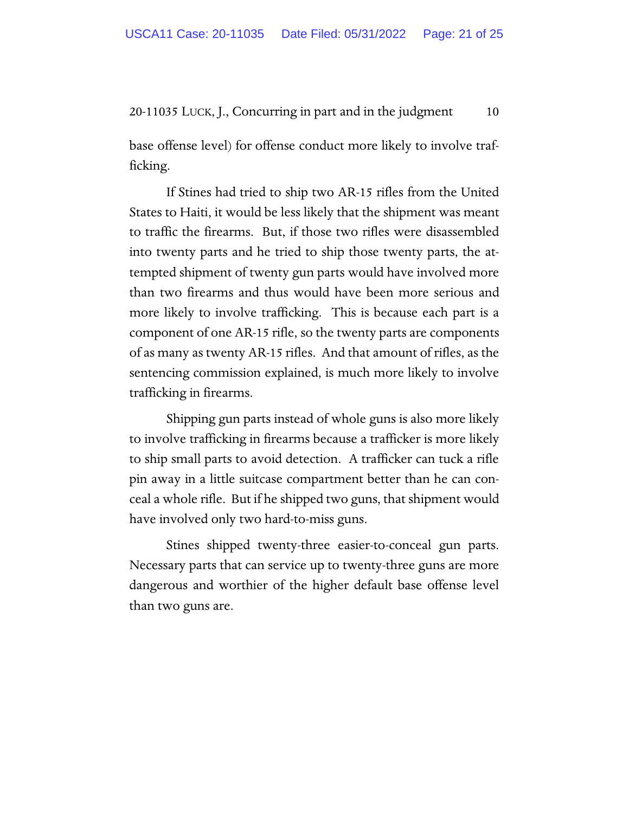base offense level) for offense conduct more likely to involve trafficking.

If Stines had tried to ship two AR-15 rifles from the United States to Haiti, it would be less likely that the shipment was meant to traffic the firearms. But, if those two rifles were disassembled into twenty parts and he tried to ship those twenty parts, the attempted shipment of twenty gun parts would have involved more than two firearms and thus would have been more serious and more likely to involve trafficking. This is because each part is a component of one AR-15 rifle, so the twenty parts are components of as many as twenty AR-15 rifles. And that amount of rifles, as the sentencing commission explained, is much more likely to involve trafficking in firearms.

Shipping gun parts instead of whole guns is also more likely to involve trafficking in firearms because a trafficker is more likely to ship small parts to avoid detection. A trafficker can tuck a rifle pin away in a little suitcase compartment better than he can conceal a whole rifle. But if he shipped two guns, that shipment would have involved only two hard-to-miss guns.

Stines shipped twenty-three easier-to-conceal gun parts. Necessary parts that can service up to twenty-three guns are more dangerous and worthier of the higher default base offense level than two guns are.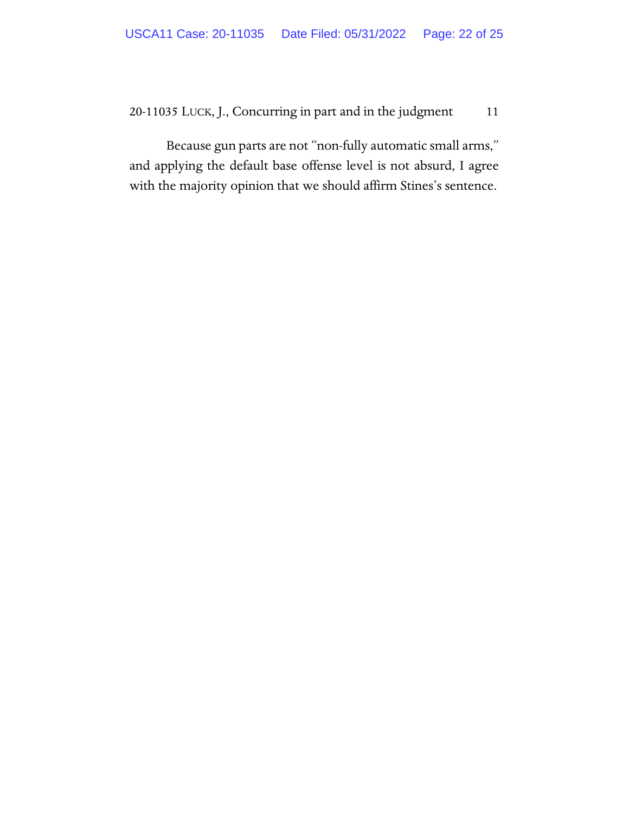Because gun parts are not "non-fully automatic small arms," and applying the default base offense level is not absurd, I agree with the majority opinion that we should affirm Stines's sentence.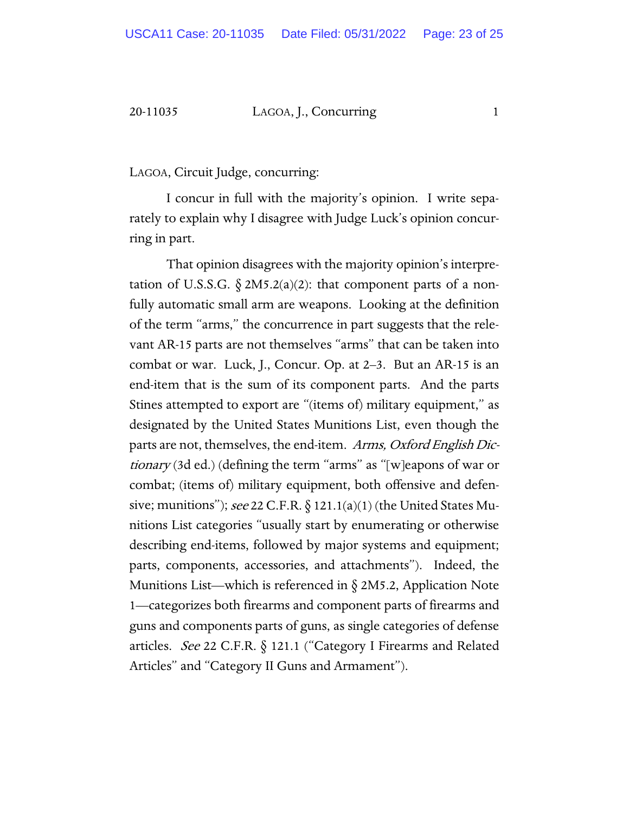# 20-11035 LAGOA, J., Concurring 1

# LAGOA, Circuit Judge, concurring:

I concur in full with the majority's opinion. I write separately to explain why I disagree with Judge Luck's opinion concurring in part.

That opinion disagrees with the majority opinion's interpretation of U.S.S.G.  $\S 2M5.2(a)(2)$ : that component parts of a nonfully automatic small arm are weapons. Looking at the definition of the term "arms," the concurrence in part suggests that the relevant AR-15 parts are not themselves "arms" that can be taken into combat or war. Luck, J., Concur. Op. at 2–3. But an AR-15 is an end-item that is the sum of its component parts. And the parts Stines attempted to export are "(items of) military equipment," as designated by the United States Munitions List, even though the parts are not, themselves, the end-item. Arms, Oxford English Dictionary (3d ed.) (defining the term "arms" as "[w]eapons of war or combat; (items of) military equipment, both offensive and defensive; munitions"); see 22 C.F.R.  $\S$  121.1(a)(1) (the United States Munitions List categories "usually start by enumerating or otherwise describing end-items, followed by major systems and equipment; parts, components, accessories, and attachments"). Indeed, the Munitions List—which is referenced in  $\S 2M5.2$ , Application Note 1—categorizes both firearms and component parts of firearms and guns and components parts of guns, as single categories of defense articles. See 22 C.F.R.  $\S$  121.1 ("Category I Firearms and Related Articles" and "Category II Guns and Armament").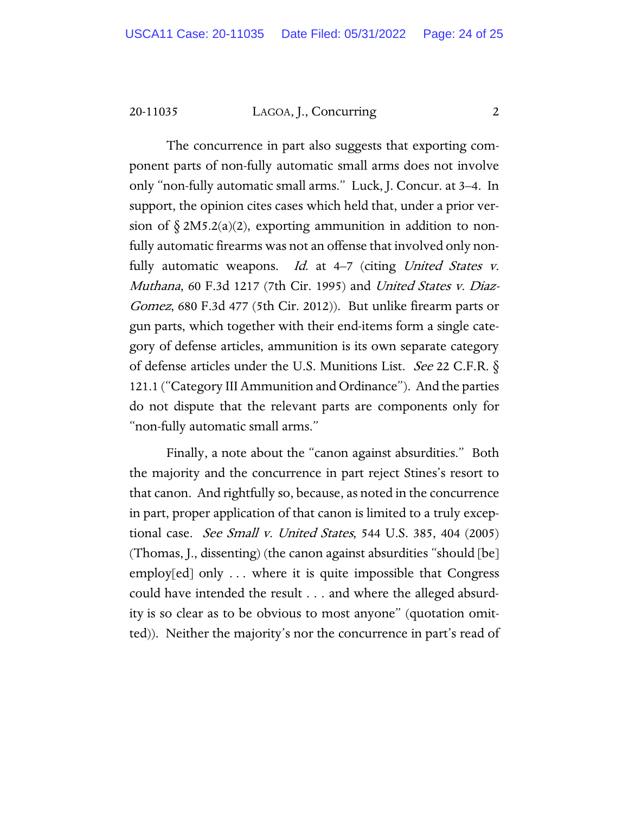20-11035 LAGOA, J., Concurring 2

The concurrence in part also suggests that exporting component parts of non-fully automatic small arms does not involve only "non-fully automatic small arms." Luck, J. Concur. at 3–4. In support, the opinion cites cases which held that, under a prior version of  $\S 2M5.2(a)(2)$ , exporting ammunition in addition to nonfully automatic firearms was not an offense that involved only nonfully automatic weapons. *Id.* at  $4-7$  (citing *United States v.* Muthana, 60 F.3d 1217 (7th Cir. 1995) and United States v. Diaz-Gomez, 680 F.3d 477 (5th Cir. 2012)). But unlike firearm parts or gun parts, which together with their end-items form a single category of defense articles, ammunition is its own separate category of defense articles under the U.S. Munitions List. See 22 C.F.R. § 121.1 ("Category III Ammunition and Ordinance"). And the parties do not dispute that the relevant parts are components only for "non-fully automatic small arms."

Finally, a note about the "canon against absurdities." Both the majority and the concurrence in part reject Stines's resort to that canon. And rightfully so, because, as noted in the concurrence in part, proper application of that canon is limited to a truly exceptional case. See Small v. United States, 544 U.S. 385, 404 (2005) (Thomas, J., dissenting) (the canon against absurdities "should [be] employ[ed] only . . . where it is quite impossible that Congress could have intended the result . . . and where the alleged absurdity is so clear as to be obvious to most anyone" (quotation omitted)). Neither the majority's nor the concurrence in part's read of